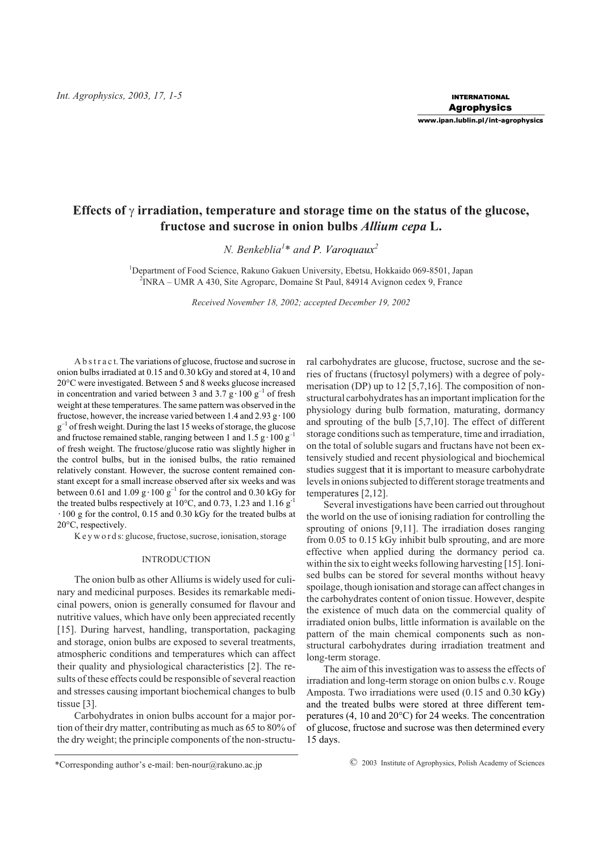# Effects of  $\gamma$  irradiation, temperature and storage time on the status of the glucose, **fructose and sucrose in onion bulbs** *Allium cepa* **L.**

*N. Benkeblia<sup>1</sup>* \* *and P. Varoquaux<sup>2</sup>*

<sup>1</sup>Department of Food Science, Rakuno Gakuen University, Ebetsu, Hokkaido 069-8501, Japan <sup>2</sup>INRA – UMR A 430, Site Agroparc, Domaine St Paul, 84914 Avignon cedex 9, France

*Received November 18, 2002; accepted December 19, 2002*

A b s t r a c t. The variations of glucose, fructose and sucrose in onion bulbs irradiated at 0.15 and 0.30 kGy and stored at 4, 10 and 20°C were investigated. Between 5 and 8 weeks glucose increased in concentration and varied between 3 and 3.7 g·100 g<sup>-1</sup> of fresh weight at these temperatures. The same pattern was observed in the fructose, however, the increase varied between 1.4 and 2.93  $g \cdot 100$  $g^{-1}$  of fresh weight. During the last 15 weeks of storage, the glucose and fructose remained stable, ranging between 1 and  $1.5 \text{ g} \cdot 100 \text{ g}^{-1}$ of fresh weight. The fructose/glucose ratio was slightly higher in the control bulbs, but in the ionised bulbs, the ratio remained relatively constant. However, the sucrose content remained constant except for a small increase observed after six weeks and was between 0.61 and 1.09 g·100 g<sup>-1</sup> for the control and 0.30 kGy for the treated bulbs respectively at 10°C, and 0.73, 1.23 and 1.16  $g^{-1}$ 100 g for the control, 0.15 and 0.30 kGy for the treated bulbs at 20°C, respectively.

K e y w o r d s: glucose, fructose, sucrose, ionisation, storage

# INTRODUCTION

The onion bulb as other Alliums is widely used for culinary and medicinal purposes. Besides its remarkable medicinal powers, onion is generally consumed for flavour and nutritive values, which have only been appreciated recently [15]. During harvest, handling, transportation, packaging and storage, onion bulbs are exposed to several treatments, atmospheric conditions and temperatures which can affect their quality and physiological characteristics [2]. The results of these effects could be responsible of several reaction and stresses causing important biochemical changes to bulb tissue [3].

Carbohydrates in onion bulbs account for a major portion of their dry matter, contributing as much as 65 to 80% of the dry weight; the principle components of the non-structural carbohydrates are glucose, fructose, sucrose and the series of fructans (fructosyl polymers) with a degree of polymerisation (DP) up to 12 [5,7,16]. The composition of nonstructural carbohydrates has an important implication for the physiology during bulb formation, maturating, dormancy and sprouting of the bulb [5,7,10]. The effect of different storage conditions such as temperature, time and irradiation, on the total of soluble sugars and fructans have not been extensively studied and recent physiological and biochemical studies suggest that it is important to measure carbohydrate levels in onions subjected to different storage treatments and temperatures [2,12].

Several investigations have been carried out throughout the world on the use of ionising radiation for controlling the sprouting of onions [9,11]. The irradiation doses ranging from 0.05 to 0.15 kGy inhibit bulb sprouting, and are more effective when applied during the dormancy period ca. within the six to eight weeks following harvesting [15]. Ionised bulbs can be stored for several months without heavy spoilage, though ionisation and storage can affect changes in the carbohydrates content of onion tissue. However, despite the existence of much data on the commercial quality of irradiated onion bulbs, little information is available on the pattern of the main chemical components such as nonstructural carbohydrates during irradiation treatment and long-term storage.

The aim of this investigation was to assess the effects of irradiation and long-term storage on onion bulbs c.v. Rouge Amposta. Two irradiations were used (0.15 and 0.30 kGy) and the treated bulbs were stored at three different temperatures (4, 10 and 20°C) for 24 weeks. The concentration of glucose, fructose and sucrose was then determined every 15 days.

<sup>\*</sup>Corresponding author's e-mail: ben-nour@rakuno.ac.jp © 2003 Institute of Agrophysics, Polish Academy of Sciences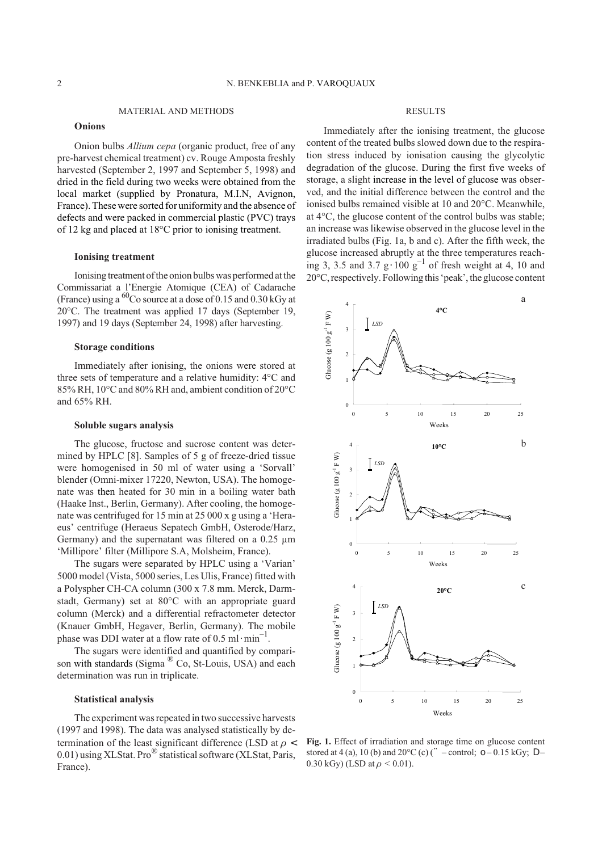MATERIAL AND METHODS

#### **Onions**

Onion bulbs *Allium cepa* (organic product, free of any pre-harvest chemical treatment) cv. Rouge Amposta freshly harvested (September 2, 1997 and September 5, 1998) and dried in the field during two weeks were obtained from the local market (supplied by Pronatura, M.I.N, Avignon, France). These were sorted for uniformity and the absence of defects and were packed in commercial plastic (PVC) trays of 12 kg and placed at 18°C prior to ionising treatment.

#### **Ionising treatment**

Ionising treatment of the onion bulbs was performed at the Commissariat a l'Energie Atomique (CEA) of Cadarache (France) using a  ${}^{60}$ Co source at a dose of 0.15 and 0.30 kGy at 20°C. The treatment was applied 17 days (September 19, 1997) and 19 days (September 24, 1998) after harvesting.

## **Storage conditions**

Immediately after ionising, the onions were stored at three sets of temperature and a relative humidity: 4°C and 85% RH, 10°C and 80% RH and, ambient condition of 20°C and 65% RH.

#### **Soluble sugars analysis**

The glucose, fructose and sucrose content was determined by HPLC [8]. Samples of 5 g of freeze-dried tissue were homogenised in 50 ml of water using a 'Sorvall' blender (Omni-mixer 17220, Newton, USA). The homogenate was then heated for 30 min in a boiling water bath (Haake Inst., Berlin, Germany). After cooling, the homogenate was centrifuged for 15 min at 25 000 x g using a 'Heraeus' centrifuge (Heraeus Sepatech GmbH, Osterode/Harz, Germany) and the supernatant was filtered on a 0.25 µm 'Millipore' filter (Millipore S.A, Molsheim, France).

The sugars were separated by HPLC using a 'Varian' 5000 model (Vista, 5000 series, Les Ulis, France) fitted with a Polyspher CH-CA column (300 x 7.8 mm. Merck, Darmstadt, Germany) set at 80°C with an appropriate guard column (Merck) and a differential refractometer detector (Knauer GmbH, Hegaver, Berlin, Germany). The mobile phase was DDI water at a flow rate of 0.5 ml·min<sup>-1</sup>.

The sugars were identified and quantified by comparison with standards (Sigma <sup>®</sup> Co, St-Louis, USA) and each determination was run in triplicate.

#### **Statistical analysis**

The experiment was repeated in two successive harvests (1997 and 1998). The data was analysed statistically by determination of the least significant difference (LSD at  $\rho$ 0.01) using XLStat. Pro<sup>®</sup> statistical software (XLStat, Paris, France).

## RESULTS

Immediately after the ionising treatment, the glucose content of the treated bulbs slowed down due to the respiration stress induced by ionisation causing the glycolytic degradation of the glucose. During the first five weeks of storage, a slight increase in the level of glucose was observed, and the initial difference between the control and the ionised bulbs remained visible at 10 and 20°C. Meanwhile, at 4°C, the glucose content of the control bulbs was stable; an increase was likewise observed in the glucose level in the irradiated bulbs (Fig. 1a, b and c). After the fifth week, the glucose increased abruptly at the three temperatures reaching 3, 3.5 and 3.7 g·100  $g^{-1}$  of fresh weight at 4, 10 and 20°C, respectively. Following this'peak', the glucose content



**Fig. 1.** Effect of irradiation and storage time on glucose content stored at 4 (a), 10 (b) and  $20^{\circ}C$  (c) ( – control; –0.15 kGy;  $0.30 \text{ kGy}$  (LSD at  $\rho < 0.01$ ).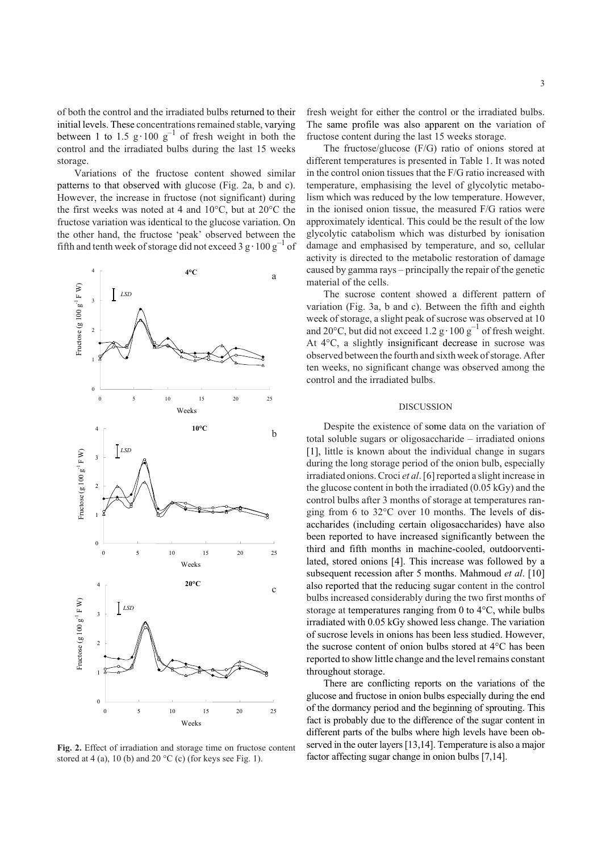of both the control and the irradiated bulbs returned to their initial levels. These concentrations remained stable, varying between 1 to 1.5 g·100  $g^{-1}$  of fresh weight in both the control and the irradiated bulbs during the last 15 weeks storage.

Variations of the fructose content showed similar patterns to that observed with glucose (Fig. 2a, b and c). However, the increase in fructose (not significant) during the first weeks was noted at 4 and 10°C, but at 20°C the fructose variation was identical to the glucose variation. On the other hand, the fructose 'peak' observed between the fifth and tenth week of storage did not exceed  $3 g \cdot 100 g^{-1}$  of



**Fig. 2.** Effect of irradiation and storage time on fructose content stored at 4 (a), 10 (b) and 20  $^{\circ}$ C (c) (for keys see Fig. 1).

fresh weight for either the control or the irradiated bulbs. The same profile was also apparent on the variation of fructose content during the last 15 weeks storage.

The fructose/glucose (F/G) ratio of onions stored at different temperatures is presented in Table 1. It was noted in the control onion tissues that the F/G ratio increased with temperature, emphasising the level of glycolytic metabolism which was reduced by the low temperature. However, in the ionised onion tissue, the measured F/G ratios were approximately identical. This could be the result of the low glycolytic catabolism which was disturbed by ionisation damage and emphasised by temperature, and so, cellular activity is directed to the metabolic restoration of damage caused by gamma rays – principally the repair of the genetic material of the cells.

The sucrose content showed a different pattern of variation (Fig. 3a, b and c). Between the fifth and eighth week of storage, a slight peak of sucrose was observed at 10 and 20°C, but did not exceed 1.2 g·100  $g^{-1}$  of fresh weight. At 4°C, a slightly insignificant decrease in sucrose was observed between the fourth and sixth week of storage. After ten weeks, no significant change was observed among the control and the irradiated bulbs.

# DISCUSSION

Despite the existence of some data on the variation of total soluble sugars or oligosaccharide – irradiated onions [1], little is known about the individual change in sugars during the long storage period of the onion bulb, especially irradiated onions. Croci *et al*. [6] reported a slight increase in the glucose content in both the irradiated (0.05 kGy) and the control bulbs after 3 months of storage at temperatures ranging from 6 to 32°C over 10 months. The levels of disaccharides (including certain oligosaccharides) have also been reported to have increased significantly between the third and fifth months in machine-cooled, outdoorventilated, stored onions [4]. This increase was followed by a subsequent recession after 5 months. Mahmoud *et al*. [10] also reported that the reducing sugar content in the control bulbs increased considerably during the two first months of storage at temperatures ranging from 0 to 4°C, while bulbs irradiated with 0.05 kGy showed less change. The variation of sucrose levels in onions has been less studied. However, the sucrose content of onion bulbs stored at 4°C has been reported to show little change and the level remains constant throughout storage.

There are conflicting reports on the variations of the glucose and fructose in onion bulbs especially during the end of the dormancy period and the beginning of sprouting. This fact is probably due to the difference of the sugar content in different parts of the bulbs where high levels have been observed in the outer layers [13,14]. Temperature is also a major factor affecting sugar change in onion bulbs [7,14].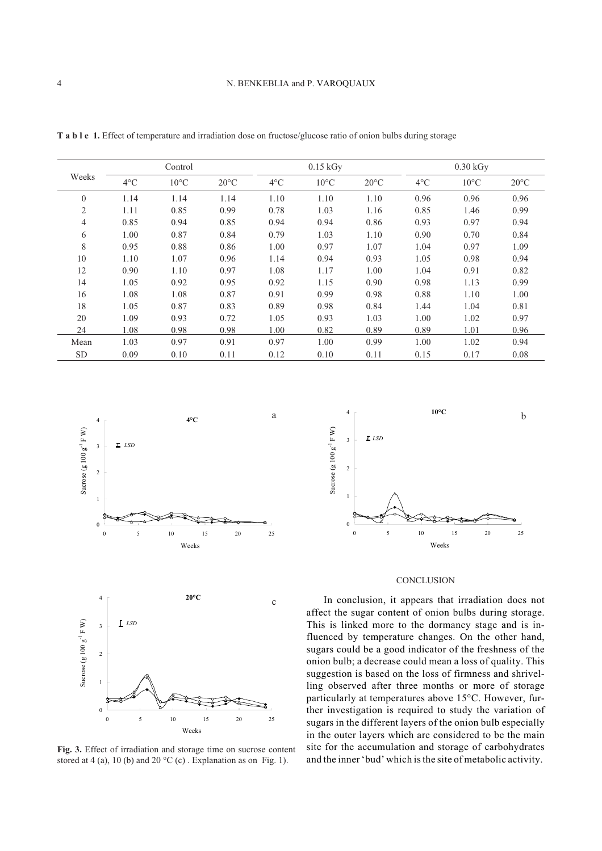| ٠ |  |  |  |
|---|--|--|--|
| ٠ |  |  |  |
|   |  |  |  |
|   |  |  |  |
|   |  |  |  |
|   |  |  |  |

| Weeks          | Control       |                |                | $0.15$ kGy    |                |                | $0.30$ kGy    |                |                |
|----------------|---------------|----------------|----------------|---------------|----------------|----------------|---------------|----------------|----------------|
|                | $4^{\circ}$ C | $10^{\circ}$ C | $20^{\circ}$ C | $4^{\circ}$ C | $10^{\circ}$ C | $20^{\circ}$ C | $4^{\circ}$ C | $10^{\circ}$ C | $20^{\circ}$ C |
| $\mathbf{0}$   | 1.14          | 1.14           | 1.14           | 1.10          | 1.10           | 1.10           | 0.96          | 0.96           | 0.96           |
| $\overline{2}$ | 1.11          | 0.85           | 0.99           | 0.78          | 1.03           | 1.16           | 0.85          | 1.46           | 0.99           |
| $\overline{4}$ | 0.85          | 0.94           | 0.85           | 0.94          | 0.94           | 0.86           | 0.93          | 0.97           | 0.94           |
| 6              | 1.00          | 0.87           | 0.84           | 0.79          | 1.03           | 1.10           | 0.90          | 0.70           | 0.84           |
| 8              | 0.95          | 0.88           | 0.86           | 1.00          | 0.97           | 1.07           | 1.04          | 0.97           | 1.09           |
| 10             | 1.10          | 1.07           | 0.96           | 1.14          | 0.94           | 0.93           | 1.05          | 0.98           | 0.94           |
| 12             | 0.90          | 1.10           | 0.97           | 1.08          | 1.17           | 1.00           | 1.04          | 0.91           | 0.82           |
| 14             | 1.05          | 0.92           | 0.95           | 0.92          | 1.15           | 0.90           | 0.98          | 1.13           | 0.99           |
| 16             | 1.08          | 1.08           | 0.87           | 0.91          | 0.99           | 0.98           | 0.88          | 1.10           | 1.00           |
| 18             | 1.05          | 0.87           | 0.83           | 0.89          | 0.98           | 0.84           | 1.44          | 1.04           | 0.81           |
| 20             | 1.09          | 0.93           | 0.72           | 1.05          | 0.93           | 1.03           | 1.00          | 1.02           | 0.97           |
| 24             | 1.08          | 0.98           | 0.98           | 1.00          | 0.82           | 0.89           | 0.89          | 1.01           | 0.96           |
| Mean           | 1.03          | 0.97           | 0.91           | 0.97          | 1.00           | 0.99           | 1.00          | 1.02           | 0.94           |
| <b>SD</b>      | 0.09          | 0.10           | 0.11           | 0.12          | 0.10           | 0.11           | 0.15          | 0.17           | 0.08           |

**T a b l e 1.** Effect of temperature and irradiation dose on fructose/glucose ratio of onion bulbs during storage



**Fig. 3.** Effect of irradiation and storage time on sucrose content stored at 4 (a), 10 (b) and 20  $^{\circ}$ C (c). Explanation as on Fig. 1).



# **CONCLUSION**

In conclusion, it appears that irradiation does not affect the sugar content of onion bulbs during storage. This is linked more to the dormancy stage and is influenced by temperature changes. On the other hand, sugars could be a good indicator of the freshness of the onion bulb; a decrease could mean a loss of quality. This suggestion is based on the loss of firmness and shrivelling observed after three months or more of storage particularly at temperatures above 15°C. However, further investigation is required to study the variation of sugars in the different layers of the onion bulb especially in the outer layers which are considered to be the main site for the accumulation and storage of carbohydrates and the inner 'bud' which is the site of metabolic activity.